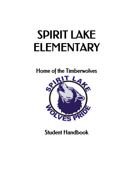# SPIRIT LAKE ELEMENTARY

Home of the Timberwolves



Student Handbook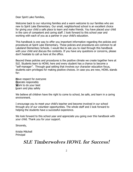Dear Spirit Lake Families,

Welcome back to our returning families and a warm welcome to our families who are new to Spirit Lake Elementary. Our small, neighborhood school is an excellent choice for giving your child a safe place to learn and make friends. You have placed your child in the care of competent and caring staff. I look forward to this school year and working with each of you as a partner in your child's education.

This handbook is one way to offer you important information regarding the policies and procedures at Spirit Lake Elementary. These policies and procedures are common to all Lakeland Elementary Schools. I would like to ask you to read through this handbook with your child and discuss the contents. If you have any questions or concerns, please don't hesitate to call us here at the office.

Beyond these policies and procedures is the positive climate we create together here at SLE. Students learn to HOWL here and every student has a chance to become a "self-manager". Through goal setting that involves our character education focus, students earn privileges for making positive choices. In case you are new, HOWL stands for:

**H**ave respect for everyone **O**perate responsibly **W**ork to do your best **L**earn and play safely

We believe all children have the right to come to school, be safe, and learn in a caring environment.

I encourage you to meet your child's teacher and become involved in our school through any of our volunteer opportunities. The whole staff and I look forward to helping the students have a successful experience.

We look forward to this school year and appreciate you going over this handbook with your child. Thank you for your support.

Sincerely,

Kristie Mitchell Principal

# SLE Timberwolves HOWL for Success!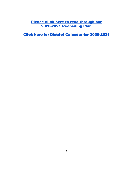# Please click here to read [through](https://mail.google.com/mail/u/0/?tab=rm#inbox/FMfcgxwJXVMfdtMzhZDPdGDQlLhRKDvV?projector=1) our 2020-2021 [Reopening](https://drive.google.com/file/d/10GhQFp1vjE7-KCiwel_N80FoHHPsrRPu/view?usp=sharing) Plan

Click here for District Calendar for [2020-2021](https://resources.finalsite.net/images/v1587402057/lakeland272org/g6zkjyi8dgciumwd6m8f/2020-2021ApprovedCalendar.pdf)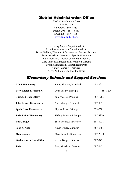# District Administration Office

15506 N. Washington Street P.O. Box 39 Rathdrum, Idaho 83858 Phone: 208 – 687 – 0431 FAX: 208 – 687 – 1884 [www.lakeland272.org](http://www.lakeland272.org/)

Dr. Becky Meyer, Superintendent Lisa Sexton, Assistant Superintendent, Brian Wallace, Director of Business and Support Services Susan Morrison, Director of Special Education Patty Morrison, Director of Federal Programs Chad Parsons, Director of Information Systems Brook Cunningham, Human Resources Cindy Happeny, Treasurer Krissy Williams, Clerk of the Board

# Elementary Schools and Support Services

| <b>Athol Elementary</b>           | Kathy Thomas, Principal          | 683-2231 |
|-----------------------------------|----------------------------------|----------|
| <b>Betty Kiefer Elementary</b>    | Lynn Paslay, Principal           | 687-5206 |
| <b>Garwood Elementary</b>         | Jake Massey, Principal           | 687-1265 |
| <b>John Brown Elementary</b>      | Ana Schnepf, Principal           | 687-0551 |
| <b>Spirit Lake Elementary</b>     | Shynne Price, Principal          | 623-2501 |
| <b>Twin Lakes Elementary</b>      | <b>Tiffany Melton, Principal</b> | 687-5870 |
| <b>Bus Garage</b>                 | Susie Moore, Supervisor          | 687-0221 |
| <b>Food Service</b>               | Kevin Doyle, Manager             | 687-5451 |
| Maintenance                       | Mike Ferriola, Supervisor        | 687-2248 |
| <b>Students with Disabilities</b> | Kelsie Badger, Director          | 687-0431 |
| <b>Title 1</b>                    | Patty Morrison, Director         | 687-0431 |
|                                   |                                  |          |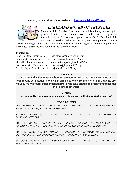#### **You may also want to visit our website at [http://www.lakeland272.org](http://www.lakeland272.org/)**



# *LAKELAND BOARD OF TRUSTEES*

Members of the Board of Trustees are elected for a four-year term by the patrons of their respective zones. Board members receive no payment for their services. School district policies are set by the Board, which in turn hires professional educators to carry out these policies. Regular

business meetings are held the second Monday of each month, beginning at 6 p.m. Opportunity is provided at each meeting for citizens to address the Board.

#### **Trustees are:**

Rena Olmstead, Chair, Zone 1 rena.olmstead@lakeland272.org Ramona Grissom, Zone 2 ramona.grissom@lakeland272.org Michelle Thompson, Zone 3 michelle.thompson@lakeland272.org Rob Irons, Vice Chair, Zone 4 rob.irons@lakeland272.org Debbie Major, Zone 5 debbie.major@lakeland272.org

#### MISSION

**At Spirit Lake Elementary School we are committed to making a difference by connecting with students. We will provide a safe environment where all students are valued. We will foster independent thinkers who take pride in their learning to achieve their highest potential.**

#### VISION

**A community committed to academic excellence and dedicated to student success!**

#### **CORE BELIEFS**

*ALL* **STUDENTS** *CAN LEARN AND EACH IS A VALUED INDIVIDUAL WITH UNIQUE PHYSICAL, SOCIAL, EMOTIONAL, AND INTELLECTUAL NEEDS.*

**STUDENT LEARNING**, *IN THE CORE ACADEMIC CURRICULUM, IS THE PRIORITY OF LAKELAND SCHOOLS.*

**SCHOOLS** *DEVELOP CONFIDENT, SELF-DIRECTED, LIFELONG LEARNERS WHO WILL BECOME RESPONSIBLE CITIZENS IN TOMORROW'S WORKFORCE AND COMMUNITY.*

**SCHOOLS** *TEACH TO, AND MODEL A UNIVERSAL SET OF BASIC VALUES: HONESTY, SELF-DISCIPLINE, RESPONSIBILITY, RESPECT, AND A STRONG WORK ETHIC.*

**SCHOOLS** *PROVIDE A SAFE, POSITIVE, ORGANIZED SETTING WITH CLEARLY DEFINED BEHAVIOR EXPECTATIONS.*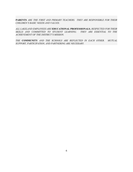**PARENTS** *ARE THE FIRST AND PRIMARY TEACHERS. THEY ARE RESPONSIBLE FOR THEIR CHILDREN'S BASIC NEEDS AND VALUES.*

*ALL LAKELAND EMPLOYEES ARE* **EDUCATIONAL PROFESSIONALS**, *RESPECTED FOR THEIR SKILLS AND COMMITTED TO STUDENT LEARNING. THEY ARE ESSENTIAL TO THE ACHIEVEMENT OF THE DISTRICT'S MISSION.*

*THE* **COMMUNITY** *AND THE SCHOOLS ARE REFLECTED IN EACH OTHER. MUTUAL SUPPORT, PARTICIPATION, AND PARTNERING ARE NECESSARY.*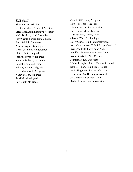# **SLE Staff:**

Shynne Price, Principal Kristie Mitchell, Principal Assistant Erica Rose, Administrative Assistant Vicki Buchert, Head Custodian Judy Gerstenberger, School Nurse Patti Gabrick, Counselor Ashley Rogers, Kindergarten Debra Cashman, Kindergarten Elaine Tobin, 1st grade Jessica Kreyssler, 1st grade Kerinsa Sanborn, 2nd grade Rachel Smith, 2nd grade Brittany Brandt, 3rd grade Kris Schwalbach, 3rd grade Nancy Mason, 4th grade Terri Menti, 4th grade Lori Clark, 5th grade

Connie Wilkerson, 5th grade Kim Hill, Title 1 Teacher Linda Richman, SWD Teacher Dave Jones, Music Teacher Marjean Bell, Library Lead Clayton Ward, Technology Keely Clary, Title 1 Paraprofessional Amanda Anderson, Title 1 Paraprofessional Kris Woodruff, Playground Aide Jennifer Tiemann, Playground Aide Joanna Gertsch, SWD Clerical Jennifer Hogue, Custodian Michael Hughes, Title 1 Paraprofessional Sara Coleman, Title 1 Professional Paula Singletary, SWD Professional Erin Haase, SWD Paraprofessional Julie Frase, Lunchroom Aide Rachel Linder, Lunchroom Aide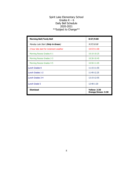# Spirit Lake Elementary School Grades  $K - 6$ Daily Bell Schedule 2020-2021 \*\*Subject to Change\*\*

| <b>Morning Bell/Tardy Bell</b>          | 8:57/9:00                                 |
|-----------------------------------------|-------------------------------------------|
| Monday Late Start (Only in Green)       | 9:57/10:00                                |
| 2-hour late start for inclement weather | 10:57/11:00                               |
| Morning Recess Grades K-1               | $10:10-10:25$                             |
| Morning Recess Grades 2-3               | 10:30-10:45                               |
| Morning Recess Grades 4-5               | 10:50-11:05                               |
| Lunch Grades K                          | 11:15-11:55                               |
| Lunch Grades 1-2                        | 11:45-12.25                               |
| Lunch Grades 3-4                        | 12:15-12:55                               |
| Lunch Grade 5                           | 12:40-1:20                                |
| <b>Dismissal</b>                        | <b>Yellow: 2:30</b><br>Orange/Green: 3:30 |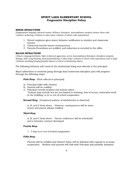## SPIRIT LAKE ELEMENTARY SCHOOL Progressive Discipline Policy

#### MINOR INFRACTIONS

(Inappropriate language, physical contact, defiance, disrespect, noncompliance, property misuse, dress code violation, technology violation or other minor violation of school wide expectations)

- 1. School employee gives minor behavior notification to student and classroom teacher.
- 2. Classroom teacher issues consequences.
- 3. Parents/Guardians are notified, and infraction is recorded in the office.

#### MAJOR INFRACTIONS

(Abusive language/profanity, fight or physical aggression, severe noncompliance/disrespect, disruption, property damage, theft, lying/cheating, harassment/bullying or other major violation of school wide expectations such as legal violations including bringing harmful objects to school or threatening others)

The following behavior will result in the students(s) being sent directly to the principal:

Major infractions or students going through final homeroom discipline plan will progress through the following steps:

**First Step:** (First referral to principal)

- a) Principal talks with student
- b) Parents will be notified
- c) Principal records incident and actions taken \*Actions may include but are not limited to warning, loss of recess, restorative work in the building, or in or out of school suspension.

Second Step: (Continued pattern of misbehavior is observed)

A, B, and C from above. However, consequences will be more severe and parent always notified.

#### Third Step:

A, B, and C from above. Parent conference will be scheduled and a behavior contract developed.

#### Fourth Step:

1 – 5 day in or out of school suspension.

#### Fifth Step:

Parents will be notified and District Policy will be followed with regards to at-home suspension. Student and parents will visit with Principal and possibly Assistant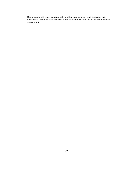Superintendent to set conditional re-entry into school. The principal may accelerate to the  $5<sup>th</sup>$  step process if she determines that the student's behavior warrants it.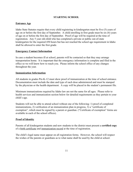# **STARTING SCHOOL**

# **Entrance Age**

Idaho State Statutes require that every child registering in kindergarten must be five (5) years of age on or before the first day of September. A child enrolling in first grade must be six (6) years of age on or before the first day of September. Proof of age will be required at the time of registration. Any 5 year old child who has completed a private or public out-of-state kindergarten for the required 450 hours but has not reached the school age requirement in Idaho shall be allowed to enter the first grade.

# **Emergency Contact Information**

In case a student becomes ill at school, parents will be contacted so that they may arrange transportation home. It is important that the emergency information is complete and filed in the office so we will know how to reach you. Please inform the school office of any changes throughout the year.

## **Immunization Information**

All students in grades Pre-K-12 must show proof of immunization at the time of school entrance. Documentation must include the date and type of each dose administered and must be stamped by the physician or the health department. A copy will be placed in the student's permanent file.

Minimum immunizations required by Idaho law are not the same for all ages. Please refer to health services and immunization section below for detailed requirements as they pertain to your child's age.

Students will not be able to attend school without one of the following: 1) proof of completed immunizations, 2) verification of an immunization plan in progress, 3) a "certificate of exemption", which must be signed by a parent or guardian. ("Certificate of exemption" forms are available in each of the school offices).

# **Proof of Identity**

Parents of all kindergarten students and new students to the district must present a **certified copy** of a birth certificate and immunization record at the time of registration.

The child's legal name must appear on all registration forms. However, the school will respect the wishes of the parents or guardians as to what name shall be used by the child at school.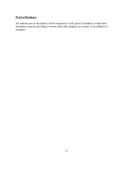# **Proof of Residency**

All students new to the district will be required to verify proof of residency within their attendance zone by providing a current utility bill, property tax receipt, or an affidavit of residence.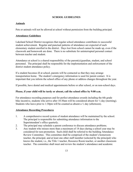## **SCHOOL GUIDELINES**

## **Animals**

Pets or animals will not be allowed at school without permission from the building principal.

## **Attendance Guidelines**

Lakeland School District recognizes that regular school attendance contributes to successful student achievement. Regular and punctual patterns of attendance are expected of each elementary student enrolled in the district. Days lost from school cannot be made up, even if the classwork and homework are done. There is no substitute for uninterrupted personal contact between teacher and student.

Attendance at school is a shared responsibility of the parent(s)/guardian, student, and school personnel. The principal shall be responsible for the implementation and enforcement of the district student attendance policy.

If a student becomes ill at school, parents will be contacted so that they may arrange transportation home. The student's emergency information is used for parent contact. It is important that you inform the school office of any phone or address changes throughout the year.

If possible, have dental and medical appointments before or after school, or on non-school days.

#### **Please, if your child will be tardy or absent, call the school office by 9:00 a.m.**

For attendance recording purposes and for perfect attendance awards including the 6th grade bike incentive, students who arrive after 10:30am will be considered absent for ½ day (morning). Students who leave prior to 1:30pm will be counted as absent a  $\frac{1}{2}$  day (afternoon).

#### **Attendance Recording Procedures**

- 1. A comprehensive record system of student attendance will be maintained by the school. The principal is responsible for submitting attendance information to the Superintendent's office quarterly.
- 2. The principal may schedule a parent conference to discuss attendance problems.
- 3. Any student who misses more than a maximum of 18 days during a school year may be considered for non-promotion. Such child shall be referred to the building Attendance Review Committee. This committee shall be comprised of the student's homeroom teacher, the principal, and at least one other staff member (selected by the principal) who knows the student, i.e., the Title 1 teacher, Resource Room teacher, or another classroom teacher. The committee shall meet and review the student's attendance and academic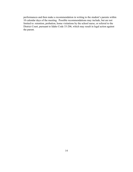performances and then make a recommendation in writing to the student's parents within 10 calendar days of the meeting. Possible recommendations may include, but are not limited to: retention, probation, home visitations by the school nurse, or referral to the District Court, pursuant to Idaho Code 33-206, which may result in legal action against the parent.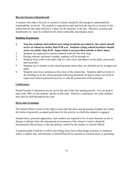## **Bicycles/Scooters/Skateboards**

A student who rides a bicycle or scooter to school should be old enough to understand the responsibility involved. The student is expected to park and lock the bicycle or scooter in the stands that are provided and leave it there for the duration of the day. Bicycles, scooters and skateboards etc. must be walked on all school sidewalks and campus areas.

#### **Building Regulations**

- **1. Non-bus students and students not eating breakfast provided by the school should arrive at school no earlier than 8:50 a.m. Students eating school breakfast should arrive no earlier than 8:45. Supervision is not provided outside at these times.**
- 2. Students are expected to remain outdoors until the first bell rings.
- 3. During extreme inclement weather, students will be brought in.
- 4. Students must walk in the halls, talk in a soft voice, and behave in the halls, classrooms, and lavatories.
- 5. Students are to remain on the school grounds unless they are checked out by an approved adult.
- 6. Students must leave premises at the close of the school day. Students shall not loiter in the building or on the school grounds following dismissal of classes unless involved in supervised school-sponsored activity or with the permission of the principal.

#### **Conferences**

Parent/Teacher Conferences are set up for the end of the first grading period. It is our goal to meet with 100% of our student' parents at this time. Selective conferences for some students may also be held throughout the year.

#### **Dress and Grooming**

The School District reserves the right to insist that the dress and grooming of pupils are within the limits of generally accepted good taste for the activity in which the student is engaged.

Student dress, personal appearance, and conduct are required to be of such character as not to disrupt or distract from the educational environment of the school or tend to diminish instructional effectiveness or the disciplinary control by the teacher or school official.

A general guide would be to follow prevailing styles but to discourage extremes or instances where a student may call attention to himself/herself by unusual or extreme dress or grooming.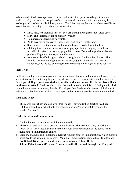When a student's dress or appearance causes undue attention, presents a danger to students or health or safety, or causes a disruption of the educational environment, the student may be asked to change and is subject to disciplinary action. The following regulations have been established to supplement the policy of Lakeland School District:

- Hats, caps, or bandannas may not be worn during the regular school dress days
- Skirts and shorts may not be excessively short.
- No undergarments should be visible.
- Pants may not be excessively baggy and must be worn at the waist.
- Shirts must cover the midriff and must not be excessively low in the front.
- Clothing that promotes, advertises, or displays profanity, vulgarity, racially or sexually offensive expressions, gang related "colors" or markings which advertise products illegal for minors, may not be worn.
- Any items identified as gang related or gang "colors" will not be allowed. This includes the wearing of gang-related tattoos, tagging or marking of books and notebooks, and the use of hand gestures or signing which signifies gang activity.

#### **Field Trips**

Field trips shall be permitted providing their purpose supplements and reinforces the objectives and materials of the unit being taught. Only district-approved transportation shall be used on field trips. **Siblings, pre-school students, or others who are not enrolled in the class will not be allowed to attend.** Students who require that medication be administered during the field trip should have a parent accompany him/her if at all possible. Students who have exhibited unsafe behavior at school may be required to be chaperoned by a parent in order to attend the field trip.

#### **Head Lice Policy**

The school district has adopted a "nit free" policy – any student contracting head lice will be excluded from school until the school nurse, and/or principal determines the child is "nit free".

#### **Health Services and Immunization**

- 1. A school nurse is available at each building weekly.
- 2. The school nurse will not be offering immunizations prior to school entry or during the school year. They should be taken care of by your family physician or the public health nurse at their immunization clinics.
- 3. State law and Lakeland Joint School District requires proof of immunizations, which must be presented to the school prior to entry. Minimum immunizations required by Idaho law are: **Pre-School, Kindergarten, and First grade students, 5 doses DTP, 3 doses Polio, 2 doses MMR and 3 doses Hepatitis B. Second through Twelfth grade**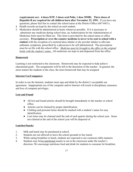**requirements are: 4 doses DTP, 3 doses oral Polio, 1 dose MMR; Three doses of Hepatitis B are required for all children born after November 22, 1991.** If you have any questions, please feel free to contact the school nurse at the District Office (687-0431).

- 4. Health records are kept by the school on each student.
- 5. Medication should be administered at home whenever possible. If it is necessary to administer any medicine during school time, an Authorization for the Administration of Medicines form must be filled out. This form is provided by the school nurse or office secretary. **Prescription or over-the counter medicine is never to be sent to school with a student** with the exception of a metered dose inhaler or dry powder inhaler to alleviate asthmatic symptoms, prescribed by a physician to be self administered. The prescription must be on file with the school office. *Medicine must be brought to the office in the original bottle with the student's name.* All medicines are kept in and dispensed from the office.

#### **Homework**

Learning is not restricted to the classroom. Homework may be expected to help achieve educational goals. The assignments will be left to the discretion of the teacher. In general, the more mature the students in the class, the more homework that may be assigned.

#### **Internet Use/Computers**

In order to use the Internet, students must sign and abide by the district's acceptable use agreement. Inappropriate use of the computer and/or Internet will result in disciplinary measures and loss of computer privileges.

#### **Lost and Found**

- All lost and found articles should be brought immediately to the teacher or school office.
- Articles can be claimed by proper identification.
- Clothing and personal items should be marked with a student's name for easy identification.
- Lost items may be claimed until the end of each quarter during the school year. Items not claimed at the end of the school year will be disposed of.

#### **Lunches/Snacks**

- 1. Milk and lunch may be purchased at school.
- 2. Students are not allowed to leave the school grounds to buy lunch.
- 3. While eating breakfast or lunch, students are expected to use courteous table manners
- 4. Students may bring nutritional snacks to eat in the classroom under the teacher's direction. We encourage nutritious food and drink for students to consume for breakfast,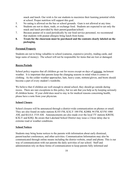snack and lunch. Our wish is for our students to maximize their learning potential while at school. Proper nutrition will support this goal.

- 5. No eating is allowed on the bus or school grounds. Gum is not allowed at any time.
- 6. Students are not to share, trade, or exchange food. Students are expected to eat only the snack and lunch provided by their parent/guardian/school.
- 7. Because peanut oil is used periodically by our food service personnel, we recommend that students with peanut allergies bring lunch from home.
- **8. Treats for the classroom must be purchased and the contents clearly labeled on the packaging.**

#### **Personal Property**

Students are not to bring valuables to school (cameras, expensive jewelry, trading cards, and large sums of money). The school will not be responsible for items that are lost or damaged.

#### **Recess Periods**

School policy requires that all children go out for recess except on days of extreme, inclement weather. It is important that parents keep the changing seasons in mind when it comes to clothing. As the colder weather approaches, hats, heavy coats, mittens/gloves, and boots should become a part of every student's wardrobe.

We believe that if children are well enough to attend school, they should go outside during recess. There are rare exceptions to this policy, but we ask that you help us by keeping seriously ill children home. If your child does need to stay in for medical reasons concerning health, please have a note from your physician.

#### **School Closure**

School closures will be announced through a district-wide communication on phones or email. They are also found on radio stations K103 FM, KXLY 100 FM, KDRK 94 FM, KVNI 1080 AM, and KGAA 1510 AM. Announcements are also made over the local TV stations KREM, KXLY and KHQ. Be aware that Lakeland School District may issue a 2-hour delay due to extreme road or weather conditions.

#### **School Notices**

Students may bring home notices to the parents with information about early dismissal, parent/teacher conferences, and other activities. Communication Information may also be communicated through online means including the district website, email and phone. This is our way of communication with our parents the daily activities of our school. Staff and administration rely on these forms of communication to keep parents fully informed and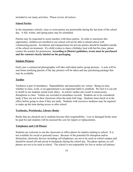included in our many activities. Please review all notices.

#### **School Parties**

In the elementary schools, class or room parties are permissible during the last hour of the school day. A fall, winter, and spring party may be scheduled.

Parents may be requested to assist teachers with these parties. In order to maximize this opportunity, children not enrolled in our school will not be able to attend school with volunteering parents. Invitations and transportation for private parties should be handled outside of the school environment. If a child wishes to share a birthday treat with her/his class, please contact the teacher for permission. **According to District guidelines, treats must be purchased and the contents clearly labeled on the packaging.**

#### **Student Pictures**

Each year a commercial photographer will take individual and/or group pictures. A note will be sent home notifying parents of the day pictures will be taken and any purchasing package that may be available.

#### **Tardies**

Tardiness is part of attendance. Dependability and punctuality are virtues. Being on time, whether to class, work, or an appointment is an important habit to establish. We feel it is our job to instill in our students sound work ethics. In school, tardies also result in unnecessary disruptions to class. Tardies are recorded in attendance records. Students are to be considered tardy if they are not in their classroom when the tardy bell rings. Students must check in at the office before going to class if they are tardy. Students with excessive tardiness may be required to make up the time during recess or after school.

#### **Textbooks, Workbooks, Library Books**

Books that are checked out to students become their responsibility. Lost or damaged books must be paid for and students will be assessed the cost for repairs or replacements.

#### **Telephones and Cell Phones**

Students are welcome to use the classroom or office phone for matters relating to school. It is not available for social or personal issues. Because of the potential for disruption and/or distraction, electronic devices including cell telephones, are not to be used on school campus and should be turned off and stored in backpacks during the school day. The photo options on cell phones are not to be used at school. The school is not responsible for lost or stolen cell phones.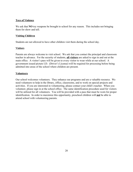# **Toys of Violence**

We ask that **NO** toy weapons be brought to school for any reason. This includes not bringing them for show and tell.

## **Visiting Children**

Students are not allowed to have other children visit them during the school day.

#### **Visitors**

Parents are always welcome to visit school. We ask that you contact the principal and classroom teacher in advance. For the security of students, **all visitors** are asked to sign in and out at the main office. A visitor's pass will be given to every visitor to wear while at our school. A government issued picture I.D. (Driver's License) will be required for processing before being admitted into areas of the school where children are present.

## **Volunteers**

Our school welcomes volunteers. They enhance our programs and are a valuable resource. We need volunteers to help in the library, office, classrooms, and to work on special projects and activities. If you are interested in volunteering, please contact your child's teacher. When you volunteer, please sign in at the school office. The same identification procedure used for visitors will be utilized for all volunteers. You will be provided with a pass that must be worn for proper identification. In order to maximize this opportunity, preschool children will **not** be able to attend school with volunteering parents.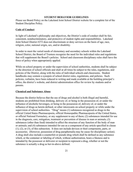#### **STUDENT BEHAVIOR GUIDELINES**

Please see Board Policy on the Lakeland Joint School District website for a complete list of the Student Discipline Policy.

#### **Code of Conduct**

In light of Lakeland's philosophy and objectives, the District's code of conduct shall be fair, consistent, nondiscriminatory, and protective of student rights and responsibilities. Lakeland Joint School District #272 does not discriminate or deny services on the basis of age, race, religion, color, national origin, sex, and/or disability.

In order to meet the varied needs of elementary and secondary schools within the Lakeland School District, the Board of Trustees recognize the need for the individual rules and regulations that will supplement the Board's policies. School and classroom disciplinary rules shall have the force of policy when appropriately applied.

While on school property or under the supervision of school authorities, students shall be subject to the direction of school officials and shall at all times be subject to the rules, regulations, and policies of the District, along with the rules of individual schools and classrooms. Student handbooks may contain a synopsis of school district rules, regulations, and policies. Such policies, verbatim, have been reduced to writing and made available at the building principal's office, the district's website, and district administration office for review by students and/or parents.

#### **Chemical and Substance Abuse**

Because the district believes that the use of drugs and alcohol is both illegal and harmful, students are prohibited from drinking, delivery of, or being in the possession of, or under the influence of alcoholic beverages, or being in the possession of, delivery of, or under the influence of drugs as herein defined, or other intoxicants on school property or while under the supervision of school authorities. "Drug" means (1) substances recognized as drugs in the official United States Pharmacopoeia, official Homeopathic Pharmacopoeia of the United States, or official National Formulary, or any supplement to any of them; (2) substances intended for use in the diagnosis, care, mitigation, treatment or prevention of disease in man or animals; (3) substances (other than food) intended to affect the structure of any function of the body of man or animals; and (4) substances intended for use as a component of any article specified in clause (1), (2), or (3), of this subsection. It does not include devices or their components, parts, or accessories. (However, possession of drug paraphernalia may be cause for disciplinary action). A drug shall also include a counterfeit or pseudo drug which shall be defined as any substance which, or the container or labeling of which, without authorization, bears a likeness and is intended by the possessor or deliverer or recipient to represent a drug, whether or not the substance is actually a drug as her-in-above defined.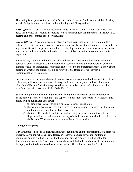This policy is progressive for the student's entire school career. Students who violate the drug and alcohol policy may be subject to the following disciplinary actions:

*First Offense*: An out-of-school suspension of up to five days with a parent conference and zeros for the days missed, and a reporting to the Superintendent that may result in a show cause hearing and/or recommendation for expulsion:

**Second Offense:** A second offense involves a second event that results in violation of this policy. The first occurrence may have happened previously in a student's school career in this or any School District. Suspended and referred to the Superintendent for a show cause hearing of whether the student should be referred to the Board of Trustees with a recommendation for expulsion.

However, any student who knowingly sells, delivers or otherwise provides drugs as herein defined or other intoxicants to another student at school or while under supervision of school authorities shall be immediately suspended and referred to the Superintendent for a show cause hearing of whether the student should be referred to the Board of Trustees with a recommendation for expulsion.

In all substance abuse cases where a student is reasonably suspicioned to be in violation of this policy, (regardless of any previous voluntary disclosure), the appropriate law enforcement officials shall be notified with a request to have a law enforcement evaluation for possible transfer to custody pursuant to Idaho Code 20-516.

Students are prohibited from using tobacco or being in the possession of tobacco products on the school grounds or while under the supervision of school authorities. Violations of this policy will be punishable as follows:

- (1) the first offense shall result in a one day in-school-suspension;
- (2) the second offense shall result in a three day out-of-school suspension with a parent conference and zeros for the days missed; and
- (3) the third offense shall result in the student being suspended and referred to the Superintendent for a show cause hearing of whether the student should be referred to the Board of Trustees with a recommendation for expulsion.

#### **Damage to Property**

Our district takes pride in its facilities, furniture, equipment, and the materials that we offer our students. Any pupil who shall cut, deface, or otherwise damage any school building or equipment, or who shall be guilty of theft of school district property, shall be liable for disciplinary action and his/her parents or guardians shall be liable for damages to the amount of the injury or theft to be collected by a school district official for the Board of Trustees.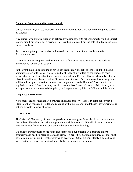#### **Dangerous Items/use and/or possession of:**

Guns, ammunition, knives, fireworks, and other dangerous items are not to be brought to school by students.

Any student who brings a weapon as defined by federal law onto school property shall be subject to expulsion from school for a period of not less than one year from the date of initial suspension for such violation.

Teachers and principals are authorized to confiscate such items immediately and take disciplinary action.

It is our hope that inappropriate behaviors will be few, enabling us to focus on the positive, praiseworthy actions of all students.

In the event that a knife is found to have been accidentally brought to school and the building administration is able to clearly determine the absence of any intent by the student to harm himself/herself or others, the student may be referred for a Re-Entry Hearing (formally called a Show Cause Hearing) before District Office Administration. The outcome of this hearing, which will include a signed behavior contract, shall be presented to the Board of Trustees at the next regularly scheduled Board meeting. At that time the board may hold an expulsion in abeyance and approve the recommended disciplinary action presented by District Office Administration.

#### **Drug Free Environment**

No tobacco, drugs or alcohol are permitted on school property. This is in compliance with a State Board of Education regulation. Clothing with drug (alcohol and tobacco) advertisements is not permitted to be worn at school.

#### **Expectations**

The Lakeland Elementary Schools' emphasis is on student growth: academic and developmental. We believe all students can behave appropriately while at school. We will allow no students to stop the teacher from teaching or prevent other students from learning.

We believe our emphasis on the rights and safety of all our students will produce a more productive and positive place to learn and grow. To benefit from good discipline, a school must have disciplinary rules: (1) that are known to everyone, (2) that are consistently enforced by all staff, (3) that are clearly understood, and (4) that are supported by parents.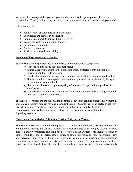We would like to request that you and your child review this discipline philosophy and the school rules. Thank you for taking the time to read and discuss this information with your child.

All students shall:

- Follow school/classroom rules and directions.
- Be punctual and regular in attendance.
- Complete assignments and use time effectively.
- Respect the rights and property of others.
- Be courteous and polite.
- Practice self-control.
- Work to the best of his/her ability.

## **Freedom of Expression and Assembly**

Student rights and responsibilities shall be based on the following assumptions:

- $\geq$  That the right to attend school is purposeful.
- $\triangleright$  Students are free to exercise their constitutionally protected rights but shall not infringe upon the rights of others.
- $\triangleright$  Fair treatment and due process, where appropriate, shall be guaranteed to all students.
- $\geq$  Students shall be encouraged to exercise their rights and responsibilities by being an active member of the school.
- $\triangleright$  Students shall have the right to equality of educational opportunity regardless of race, creed, or sex.
- $\triangleright$  The effective development of a climate for learning requires understanding and good faith on the part of all concerned.

The Board of Trustees and the school administration believe that genuine student involvement in educational programs requires responsible student action. Students shall be expected to act with respect for school regulations, concerns for others, and personal dignity. Students are encouraged to express their beliefs and feelings but not in a manner that is disruptive or degrading to others.

# **Harassment, Intimidation, Initiations, Hazing, Bullying or Threats**

The Board of Trustees is committed to providing a positive and productive learning and working environment. Hazing, harassment, intimidation, cyber bullying, or bullying by students or third parties is strictly prohibited and shall not be tolerated in the District. This includes actions on school grounds, school property, school buses, at school bus stops, at school sponsored events and activities, and through the use of electronic technology or electronic communication equipment on school computers, networks, forums, or mailing lists and actions at locations outside of those listed above that can be reasonably expected to materially and substantially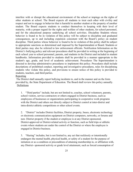interfere with or disrupt the educational environment of the school or impinge on the rights of other students at school. The Board expects all students to treat each other with civility and respect and not to engage in behavior that is harmful to another student or the property of another student. The Board expects students to conduct themselves in keeping with their level of maturity, with a proper regard for the rights and welfare of other students, for school personnel, and for the educational purpose underlying all school activities. Discipline Students whose behavior is found to be in violation of this policy will be subject to discipline and graduated consequences, up to and including expulsion consistent with the Board's policy on student discipline. Third parties whose behavior is found to be in violation of this policy shall be subject to appropriate sanctions as determined and imposed by the Superintendent or Board. Students or third parties may also be referred to law enforcement officials. Notification Information on the District's bullying policy and relevant procedures shall be provided in writing at the beginning of each school year to school personnel, parents, and students in the District and included in student handbooks. Information provided to students shall be provided in a manner appropriate to the student's age, grade, and level of academic achievement. Procedures The Superintendent is directed to develop administrative procedures to implement this policy. Procedures shall include descriptions of prohibited conduct, reporting and investigative procedures, rules for disciplining students who violate this policy, and provisions to ensure notice of this policy is provided to students, teachers, and third parties.

#### Reporting

 The District shall annually report bullying incidents to, and in the manner and on the form provided by, the State Department of Education. The Board shall review this policy annually. **Definitions** 

1. "Third parties" include, but are not limited to, coaches, school volunteers, parents, school visitors, service contractors or others engaged in District business, such as employees of businesses or organizations participating in cooperative work programs with the District and others not directly subject to District control at inter-district and intra-district athletic competitions or other school events.

2. "District" includes District facilities, District property, buses, electronic technology or electronic communication equipment on District computers, networks, or forums and non- District property if the student or employee is at any District-sponsored, District-approved or District-related activity or function, such as field trips or athletic events where students are under the control of the District or where the employee is engaged in District business.

3. "Hazing" includes, but is not limited to, any act that recklessly or intentionally endangers the mental health, physical health, or safety of a student for the purpose of initiation or as a condition or precondition of attaining membership in, or affiliation with, any District- sponsored activity or grade level attainment, such as forced consumption of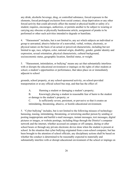any drink, alcoholic beverage, drug, or controlled substance, forced exposure to the elements, forced prolonged exclusion from social contact, sleep deprivation or any other forced activity that could adversely affect the mental or physical health or safety of a student; requires, encourages, authorizes, or permits another to be subject to wearing or carrying any obscene or physically burdensome article, assignment of pranks to be performed or other such activities intended to degrade or humiliate.

4. "Harassment" includes, but is not limited to, any act which subjects an individual or group to unwanted, abusive behavior of a nonverbal, verbal, written, electronic, or physical nature on the basis of an actual or perceived characteristic, including but not limited to age, race, religion, color, national origin, disability, gender, gender identity and expression, sexual orientation, physical characteristic, cultural background, socioeconomic status, geographic location, familial status, or weight.

5. "Harassment, intimidation, or bullying" means any act that substantially interferes with or disrupts the educational environment or impinges on the rights of other students at school, a student's opportunities or performance, that takes place on or immediately adjacent to school

grounds, school property, at any school-sponsored activity, on school-provided transportation or at any official school bus stop, and that has the effect of:

A. Harming a student or damaging a student's property;

B. Knowingly placing a student in reasonable fear of harm to the student or damage to the student's property; or

C. Is sufficiently severe, persistent, or pervasive so that it creates an intimidating, threatening, abusive, or hostile educational environment.

5. "Cyber bullying" includes, but is not limited to the following misuses of technology: harassing, teasing, intimidating, threatening, or terrorizing another person by sending or posting inappropriate and hurtful e-mail messages, instant messages, text messages, digital pictures or images, or website postings, including blogs through the District's computer network and the internet, whether accessed on campus or off campus, during or after school hours or through any private electronic device done when the student is present at school. In the situation that cyber bullying originated from a non-school computer, but has been brought to the attention of school officials, any disciplinary actions shall be based on whether the conduct is determined to be reasonably expected to materially and substantially interfere with or disrupt educational environment of the school or impinge on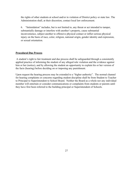the rights of other students at school and/or in violation of District policy or state law. The Administration shall, at their discretion, contact local law enforcement.

6. "Intimidation" includes, but is not limited to, any threat or act intended to tamper, substantially damage or interfere with another's property, cause substantial inconvenience, subject another to offensive physical contact or inflict serious physical injury on the basis of race, color, religion, national origin, gender identity and expression, or sexual orientation.

#### **Procedural Due Process**

 A student's right to fair treatment and due process shall be safeguarded through a consistently applied practice of informing the student of any alleged rule violation and the evidence against him or her (notice), and by allowing the student an opportunity to explain his or her version of the facts (hearing) before deciding on or imposing any punishment.

Upon request the hearing process may be extended to a "higher authority". The normal channel for hearing complaints or concerns regarding student discipline shall be from Student to Teacher to Principal to Superintendent to School Board. Neither the Board as a whole nor any individual member will entertain or consider communications or complaints from students or parents until they have first been referred to the building principal or Superintendent of Schools.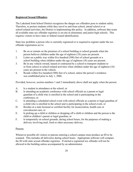## **Registered Sexual Offenders**

The Lakeland Joint School District recognizes the danger sex offenders pose to student safety. Therefore, to protect students while they travel to and from school, attend school or at school-related activities, the District is implementing this policy. In addition, software that scans all available state sex offender registries is on-site at elementary and junior high schools. This requires visitors to have state or federal issued identification.

State law prohibits a person who is currently registered or is required to register under the sex offender registration act to:

- 1. Be on or remain on the premises of a school building or school grounds when the person believes children under the age of eighteen (18) years are present.
- 2. Loiter on a public way within five hundred (500) feet of school grounds or a school building when children under the age of eighteen (18) years are present.
- 3. Be in any vehicle owned, leased or contracted by a school to transport students to or from school or school-related activities when children under the age of eighteen (18) years are present in the vehicle.
- 4. Reside within five hundred (500) feet of a school, unless the person's residence was established prior to July 1, 2006.

Provided, however, section numbers 1 and 2 immediately above shall not apply when the person:

- A. Is a student in attendance at the school; or
- B. Is attending an academic conference with school officials as a parent or legal guardian of a child who is enrolled in the school and is participating in the conference; or
- C. Is attending a scheduled school event with school officials as a parent or legal guardian of a child who is enrolled in the school and is participating in the school event; or
- D. Resides at a state licensed or certified facility for incarceration, health care or convalescent care; or
- E. Is picking up a child or children or dropping off a child or children and the person is the child or children's parent or legal guardian; or
- F. Is temporarily on school grounds, during school hours, for the purposes of making a delivery involving mail, food or other necessary delivery.

#### Process

Whenever possible all visitors or patrons entering a school campus must produce an ID to be scanned. This includes all deliveries during school hours. Appropriate software will compare the ID with state sexual offender registries. If alerted a registered sex offender will not be allowed in the building unless accompanied by an administrator.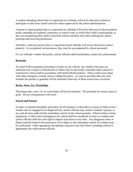A student attending school that is a registered sex offender will not be allowed to attend or participate in after hour school activities unless approved by the school administration.

A parent or legal guardian that is a registered sex offender will not be allowed on school property unless attending an academic conference or school event, in which their child is participating, or they are transporting their child to and from school, and then only after notifying the school principal and receiving permission.

Normally, a delivery person that is a registered sexual offender will not be allowed on school property. In exceptional circumstances, they must be accompanied by school personnel.

If a sex offender violates this policy, school officials shall immediately contact law enforcement.

## **Restraint**

As a part of the emergency procedures in place in our schools, any student who poses an imminent risk of injury to him/herself or others may be physically restrained and/or placed in seclusion by school staff in accordance with School Board policies. These could occur along with other emergency actions such as calling the police. As soon as possible after any such incident the parents or guardian will be informed when any of these actions have occurred.

#### **Rocks, Snow, Ice, Woodchips**

Throwing rocks, snow, ice or wood chips will not be tolerated. The potential for serious injury is great. Severe consequences will result.

#### **Search and Seizure**

In order to maintain discipline and safety for all students or when there is reason to believe that a student may be engaged in an illegal activity, school officials may search a student's person, or any and all areas under his/her immediate control on the school grounds. School lockers, books, equipment, or other items belonging to the school shall be considered on loan to a student and school officials shall have the right to inspect such items at any time. Any dangerous items or illegal material found in the possession of or subject to the immediate control of a student may be confiscated. Other appropriate disciplinary measures may also follow including referral to appropriate law enforcement officials.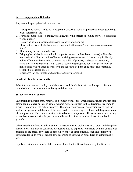## **Severe Inappropriate Behavior**

Any severe inappropriate behavior such as:

- A. Disrespect to adults refusing to cooperate, swearing, using inappropriate language, talking back, harassment, or;
- B. Hurting someone else fighting, punching, throwing objects (including snow, ice, rocks and woodchips) or;
- C. Destroying school property, destroying property of others, or;
- D. Illegal activity (i.e. alcohol or drug possession, theft, use and/or possession of dangerous items) or;
- E. Threatening the safety of others or;
- F. Bringing harmful objects to school (i.e. pocket knives, bullets, laser pointers) will not be tolerated and will result in the offender receiving consequences. If the activity is illegal, a police officer may be called to come for the child. If property is abused or destroyed, restitution will be expected. In all cases of severe inappropriate behavior, parents will be notified and will be asked to work with the school to help the child make an acceptable, responsible behavior choice.
- G. Initiations/Hazing/Threats of students are strictly prohibited.

## **Substitute Teachers' Authority**

Substitute teachers are employees of the district and should be treated with respect. Students should submit to a substitute's authority and direction.

#### **Suspension and Expulsion**

Suspension is the temporary removal of a student from school when circumstances are such that he/she can no longer be kept in school without risk of detriment to the educational program, to himself, to others, or the public property. The primary purposes of suspension are to give the student, his parents, and the school the time needed for resolving a problem and the protection of life and property. The parents must be notified of each suspension. If suspension occurs during school hours, contact with the parent should be made before the student leaves the school grounds.

When a student refuses or fails to submit to reasonable and ordinary rules of order and discipline in such a way that his/her continued attendance may be expected to interfere with the educational program or the safety or welfare of school personnel or other students, such student may be suspended for up to five (5) school days according to suspension procedures as authorized by law.

Expulsion is the removal of a child from enrollment in the District schools by the Board of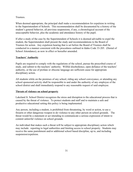#### **Trustees**

When deemed appropriate, the principal shall make a recommendation for expulsion in writing to the Superintendent of Schools. This recommendation shall be documented by a history of the student's general behavior, all previous suspensions, if any, a chronological account of the unacceptable behavior, plus the academic and attendance history of the pupil.

If after a study of the case by the Superintendent of Schools it is deemed advisable to expel the student, the Superintendent shall present the study and recommendations to the Board of Trustees for action. Any expulsion hearing that is set before the Board of Trustees shall be conducted in a manner consistent with the procedures outlined in Idaho Code 33-205. (Denial of School Attendance), as now in effect or hereafter amended.

#### **Teachers' Authority**

Pupils are required to comply with the regulations of the school, pursue the prescribed course of study, and submit to the teachers' authority. Willful disobedience, open defiance of the teachers' authority, or the use of profane or obscene language are sufficient cause for appropriate disciplinary action.

All students while on the premises of any school, riding any school conveyance, or attending any school sponsored activity shall be responsible to and under the authority of any employee of the school district and shall immediately respond to any reasonable request of said employee.

#### **Threats of violence on school property**

Lakeland Jt. School District recognizes the stress and disruption to the educational process that is caused by the threat of violence. To protect students and staff and to maintain a safe and productive educational setting this policy is being implemented.

Any person, including a student, is prohibited from threatening, by word or action, to use a firearm or other dangerous weapon to do violence to any other person on school grounds. The threat would be a statement or act intending to communicate a serious expression of intent to commit unlawful violence on school grounds.

An individual that makes such a threat will be subject to appropriate disciplinary action which may include: reporting to legal authorities and limiting access to school property. Students may receive the same punishment and/or additional school based discipline, up to, and including suspension/expulsion.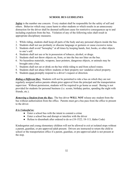## **SCHOOL BUS GUIDELINES**

**Safety** is the number one concern. Every student shall be responsible for the safety of self and others. Behavior which may cause harm to other students or which results in an unnecessary distraction for the driver shall be deemed sufficient cause for restrictive consequences up to and including expulsion from the bus. Violation of any of the following rules shall result in appropriate disciplinary measures.

- 1. While riding, students shall keep all parts of the body and any personal objects inside the bus.
- 2. Students shall not use profanity or obscene language or gestures or cause excessive noise.
- 3. Students shall avoid "horseplay" at all times by keeping hands, feet, books, or other objects to one's self.
- 4. Students shall not use or be in possession of tobacco, alcohol, or drugs.
- 5. Students shall not throw objects on, from, or into the bus nor litter on the bus.
- 6. No hazardous materials, weapons, laser pointers, dangerous objects, or animals may be brought onto a bus.
- 7. Students shall not eat or drink on the bus while riding to and from school routes.
- 8. Students shall not abuse fellow students or their property nor vandalize school property.
- 9. Students must promptly respond to a driver's request or direction.

*Riding a Different Bus:* Students will not be permitted to ride a bus on which they are not regularly assigned unless parents obtain prior approval from the principal and the transportation supervisor. Without permission, students will be required to go home as usual. Busing is not provided for students for personal business (i.e. scouts, birthday parties, spending the night with friends, etc.).

*Removing a Student from the Bus:* The bus driver **WILL NOT** release any student from the bus without authorization from the office. Parents must get a bus pass from the office to present to the driver.

#### *It is Unlawful to:*

- Enter a school bus with the intent to commit a crime
- Enter a school bus and disrupt or interfere with the driver
- Refuse to disembark after ordered to do so (18-1522; 18-113, Idaho Code)

Kindergarten and young elementary children will not be allowed to exit at isolated stops without a parent, guardian, or pre-approved adult present. Drivers are instructed to return the child to school or the transportation office if a parent, guardian, or pre-approved adult is not present at the stop.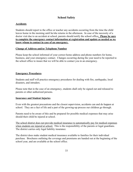# **School Safety**

# **Accidents**

Students should report to the office or teacher any accidents occurring from the time the child leaves home in the morning until he/she returns in the afternoon. In case of the necessity of a doctor visit due to an accident at school, parents should notify the school office**. Please be sure to complete the emergency contact information at registration and update as needed so we know whom to contact in case of an emergency.**

## **Change of Address and/or Telephone Number**

Please keep the school informed of your correct home address and phone numbers for home, business, and your emergency contact. Changes occurring during the year need to be reported to the school office to insure that we will be able to contact you in an emergency.

# **Emergency Procedures**

Students and staff will practice emergency procedures for dealing with fire, earthquake, local disasters, and intruders.

Please note that in the case of an emergency, students shall only be signed out and released to parents or other authorized persons.

# **Insurance and Student Injuries**

Even with the greatest precautions and the closest supervision, accidents can and do happen at school. They are a fact of life and a part of the growing-up process our children go through.

Parents need to be aware of this and be prepared for possible medical expenses that may arise should their child be injured at school.

The school district does not provide medical insurance to automatically pay for medical expenses when students are injured at school. This is the responsibility of the parents or legal guardians. The district carries only legal liability insurance.

The district does make student medical insurance available to families for their individual purchase. Brochures outlining the coverage and premiums are handed out at the beginning of the school year, and are available at the school office.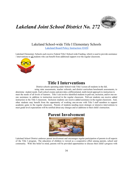*Lakeland Joint School District No. 272*



Lakeland School-wide Title I Elementary Schools

[Lakeland Board Policy Instruction #2420](https://resources.finalsite.net/images/v1530245926/lakeland272org/hht6rkoqhxsp0kezly19/2420-TitleIParentInvolvement.pdf)

Lakeland Elementary Schools each receive Federal Title I School-wide Funding, which is used to provide assistance / interventions to all students who can benefit from additional support over the regular classroom.



# **Title I Interventions**

District schools operating under School-wide Title I screen all students in the fall, using state assessments, teacher referrals, and district curriculum benchmark assessments, to determine student needs. Each school creates and provides a differentiated, multi-tiered approach to instruction to meet the needs of all levels of learners. Title I can involve identified students in pull-out, inclusion, and/or one-onone assistance in addition to instruction received in the regular classroom. Pull-out students can receive added

instruction in the Title I classroom. Inclusion students can receive added assistance in the regular classroom. And, other students may benefit from the opportunity of working one-on-one with Title I staff members to support academic gains in the regular classroom. Parents of students needing more strategic or intensive interventions to meet grade level expectations will be notified about any changes and or additions to their child's instruction.

# **Parent Involvement**



Lakeland School District endorses parent involvement and encourages regular participation of parents in all aspects of the Title I program. The education of children is viewed as a cooperative effort among parents, school and community. With this belief in mind, parents will be provided opportunities to discuss their child's progress with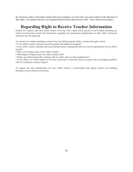the classroom and/or intervention teacher and receive guidance as to how they can assist at home in the education of their child. (For further reference, see Lakeland School District Board Policy 2420 - Title I Parent Involvement.)

# **Regarding Right to Receive Teacher Information**

Federal law requires that each school district receiving Title 1 funds notify parents of each student attending any school receiving these funds that information regarding the professional qualifications of their child's classroom teacher(s) may be requested.

As a parent of a student attending a school receiving federal program funds, you have the right to know:

• Is my child's teacher licensed to teach the grades and subject(s) assigned?

• Is my child's teacher teaching with a provisional license, meaning the state has waived requirements for my child's teacher?

- What is the college major of my child's teacher?
- What degree or degrees does my child's teacher hold?
- If there are instructional aides working with my child, what are their qualifications?

• If my child is or will be taught for 4 or more consecutive weeks this year by a teacher who is not highly qualified, will I be notified in a timely manner?

To request the state qualifications for your child's teacher or instructional aide, please contact your building principal, at your earliest convenience*.*